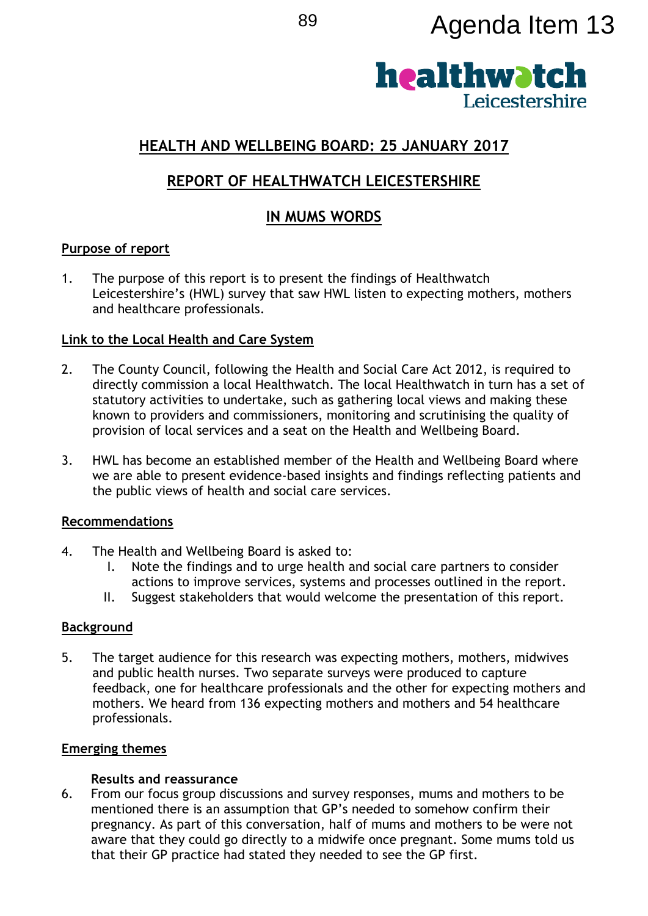# <sup>89</sup> Agenda Item 13



# **HEALTH AND WELLBEING BOARD: 25 JANUARY 2017**

# **REPORT OF HEALTHWATCH LEICESTERSHIRE**

# **IN MUMS WORDS**

# **Purpose of report**

1. The purpose of this report is to present the findings of Healthwatch Leicestershire's (HWL) survey that saw HWL listen to expecting mothers, mothers and healthcare professionals.

# **Link to the Local Health and Care System**

- 2. The County Council, following the Health and Social Care Act 2012, is required to directly commission a local Healthwatch. The local Healthwatch in turn has a set of statutory activities to undertake, such as gathering local views and making these known to providers and commissioners, monitoring and scrutinising the quality of provision of local services and a seat on the Health and Wellbeing Board.
- 3. HWL has become an established member of the Health and Wellbeing Board where we are able to present evidence-based insights and findings reflecting patients and the public views of health and social care services.

#### **Recommendations**

- 4. The Health and Wellbeing Board is asked to:
	- I. Note the findings and to urge health and social care partners to consider actions to improve services, systems and processes outlined in the report.
	- II. Suggest stakeholders that would welcome the presentation of this report.

# **Background**

5. The target audience for this research was expecting mothers, mothers, midwives and public health nurses. Two separate surveys were produced to capture feedback, one for healthcare professionals and the other for expecting mothers and mothers. We heard from 136 expecting mothers and mothers and 54 healthcare professionals.

# **Emerging themes**

# **Results and reassurance**

6. From our focus group discussions and survey responses, mums and mothers to be mentioned there is an assumption that GP's needed to somehow confirm their pregnancy. As part of this conversation, half of mums and mothers to be were not aware that they could go directly to a midwife once pregnant. Some mums told us that their GP practice had stated they needed to see the GP first.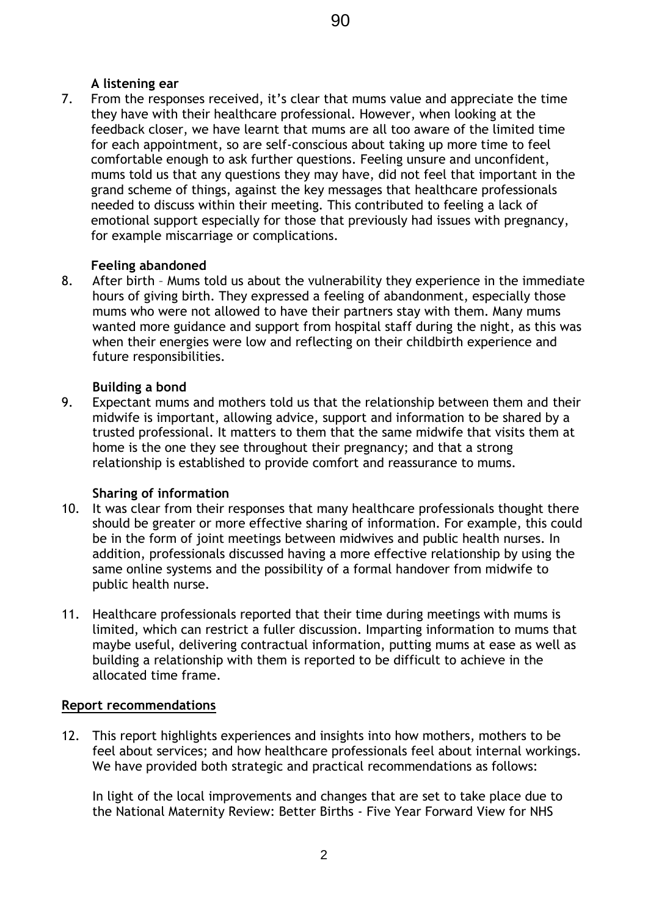# **A listening ear**

7. From the responses received, it's clear that mums value and appreciate the time they have with their healthcare professional. However, when looking at the feedback closer, we have learnt that mums are all too aware of the limited time for each appointment, so are self-conscious about taking up more time to feel comfortable enough to ask further questions. Feeling unsure and unconfident, mums told us that any questions they may have, did not feel that important in the grand scheme of things, against the key messages that healthcare professionals needed to discuss within their meeting. This contributed to feeling a lack of emotional support especially for those that previously had issues with pregnancy, for example miscarriage or complications.

#### **Feeling abandoned**

8. After birth – Mums told us about the vulnerability they experience in the immediate hours of giving birth. They expressed a feeling of abandonment, especially those mums who were not allowed to have their partners stay with them. Many mums wanted more guidance and support from hospital staff during the night, as this was when their energies were low and reflecting on their childbirth experience and future responsibilities.

#### **Building a bond**

9. Expectant mums and mothers told us that the relationship between them and their midwife is important, allowing advice, support and information to be shared by a trusted professional. It matters to them that the same midwife that visits them at home is the one they see throughout their pregnancy; and that a strong relationship is established to provide comfort and reassurance to mums.

# **Sharing of information**

- 10. It was clear from their responses that many healthcare professionals thought there should be greater or more effective sharing of information. For example, this could be in the form of joint meetings between midwives and public health nurses. In addition, professionals discussed having a more effective relationship by using the same online systems and the possibility of a formal handover from midwife to public health nurse.
- 11. Healthcare professionals reported that their time during meetings with mums is limited, which can restrict a fuller discussion. Imparting information to mums that maybe useful, delivering contractual information, putting mums at ease as well as building a relationship with them is reported to be difficult to achieve in the allocated time frame.

#### **Report recommendations**

12. This report highlights experiences and insights into how mothers, mothers to be feel about services; and how healthcare professionals feel about internal workings. We have provided both strategic and practical recommendations as follows:

In light of the local improvements and changes that are set to take place due to the National Maternity Review: Better Births - Five Year Forward View for NHS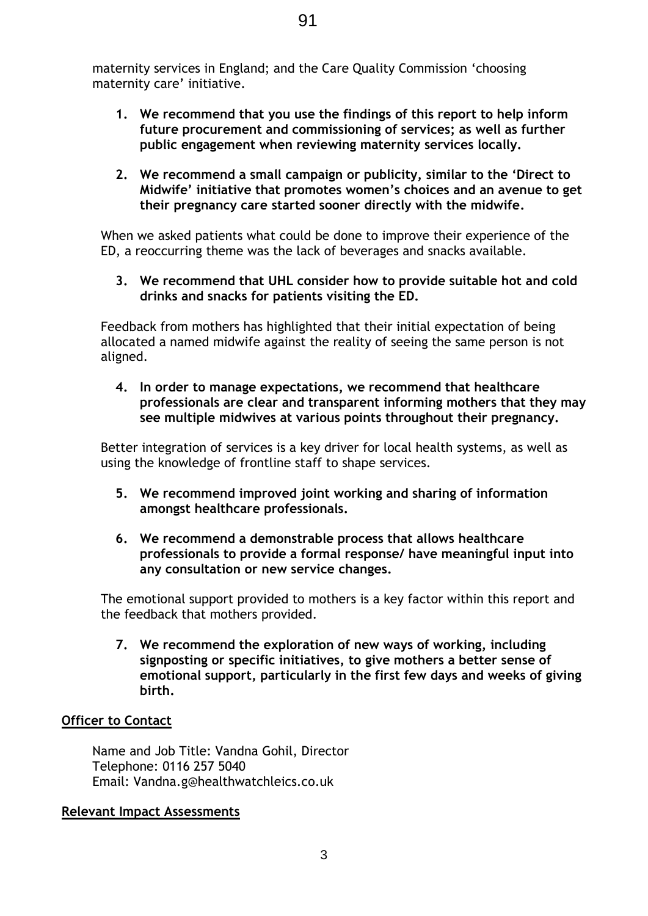maternity services in England; and the Care Quality Commission 'choosing maternity care' initiative.

- **1. We recommend that you use the findings of this report to help inform future procurement and commissioning of services; as well as further public engagement when reviewing maternity services locally.**
- **2. We recommend a small campaign or publicity, similar to the 'Direct to Midwife' initiative that promotes women's choices and an avenue to get their pregnancy care started sooner directly with the midwife.**

When we asked patients what could be done to improve their experience of the ED, a reoccurring theme was the lack of beverages and snacks available.

**3. We recommend that UHL consider how to provide suitable hot and cold drinks and snacks for patients visiting the ED.** 

Feedback from mothers has highlighted that their initial expectation of being allocated a named midwife against the reality of seeing the same person is not aligned.

**4. In order to manage expectations, we recommend that healthcare professionals are clear and transparent informing mothers that they may see multiple midwives at various points throughout their pregnancy.** 

Better integration of services is a key driver for local health systems, as well as using the knowledge of frontline staff to shape services.

- **5. We recommend improved joint working and sharing of information amongst healthcare professionals.**
- **6. We recommend a demonstrable process that allows healthcare professionals to provide a formal response/ have meaningful input into any consultation or new service changes.**

The emotional support provided to mothers is a key factor within this report and the feedback that mothers provided.

**7. We recommend the exploration of new ways of working, including signposting or specific initiatives, to give mothers a better sense of emotional support, particularly in the first few days and weeks of giving birth.** 

# **Officer to Contact**

Name and Job Title: Vandna Gohil, Director Telephone: 0116 257 5040 Email: Vandna.g@healthwatchleics.co.uk

#### **Relevant Impact Assessments**